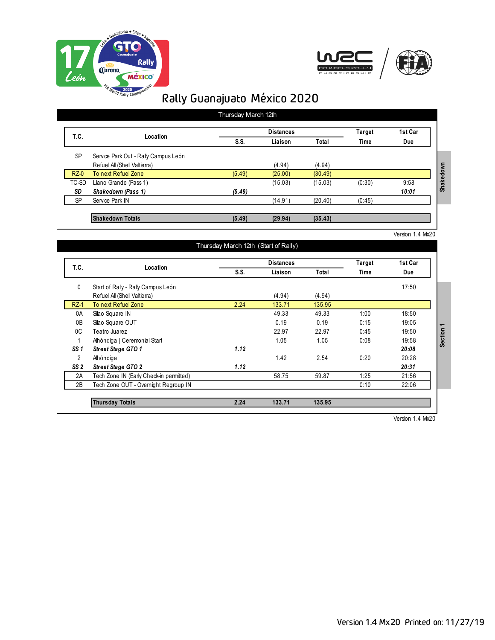



|           | Location                             |        | <b>Distances</b> | Target  | 1st Car     |       |
|-----------|--------------------------------------|--------|------------------|---------|-------------|-------|
| T.C.      |                                      | S.S.   | Liaison          | Total   | <b>Time</b> | Due   |
| <b>SP</b> | Service Park Out - Rally Campus León |        |                  |         |             |       |
|           | Refuel All (Shell Valtierra)         |        | (4.94)           | (4.94)  |             |       |
| $RZ-0$    | To next Refuel Zone                  | (5.49) | (25.00)          | (30.49) |             |       |
| TC-SD     | Llano Grande (Pass 1)                |        | (15.03)          | (15.03) | (0:30)      | 9:58  |
| SD        | Shakedown (Pass 1)                   | (5.49) |                  |         |             | 10:01 |
| <b>SP</b> | Service Park IN                      |        | (14.91)          | (20.40) | (0.45)      |       |
|           |                                      |        |                  |         |             |       |
|           | <b>Shakedown Totals</b>              | (5.49) | (29.94)          | (35.43) |             |       |

|                 | Location                                | <b>Distances</b> |         |        | Target      | 1st Car |
|-----------------|-----------------------------------------|------------------|---------|--------|-------------|---------|
| T.C.            |                                         | S.S.             | Liaison | Total  | <b>Time</b> | Due     |
| 0               | Start of Rally - Rally Campus León      |                  |         |        |             | 17:50   |
|                 | Refuel All (Shell Valtierra)            |                  | (4.94)  | (4.94) |             |         |
| $RZ-1$          | To next Refuel Zone                     | 2.24             | 133.71  | 135.95 |             |         |
| 0A              | Silao Square IN                         |                  | 49.33   | 49.33  | 1:00        | 18:50   |
| 0 <sub>B</sub>  | Silao Square OUT                        |                  | 0.19    | 0.19   | 0:15        | 19:05   |
| 0 <sup>C</sup>  | Teatro Juarez                           |                  | 22.97   | 22.97  | 0:45        | 19:50   |
|                 | Alhóndiga   Ceremonial Start            |                  | 1.05    | 1.05   | 0:08        | 19:58   |
| SS <sub>1</sub> | Street Stage GTO 1                      | 1.12             |         |        |             | 20:08   |
| 2               | Alhóndiga                               |                  | 1.42    | 2.54   | 0:20        | 20:28   |
| SS <sub>2</sub> | <b>Street Stage GTO 2</b>               | 1.12             |         |        |             | 20:31   |
| 2A              | Tech Zone IN (Early Check-in permitted) |                  | 58.75   | 59.87  | 1:25        | 21:56   |
| 2B              | Tech Zone OUT - Overnight Regroup IN    |                  |         |        | 0:10        | 22:06   |

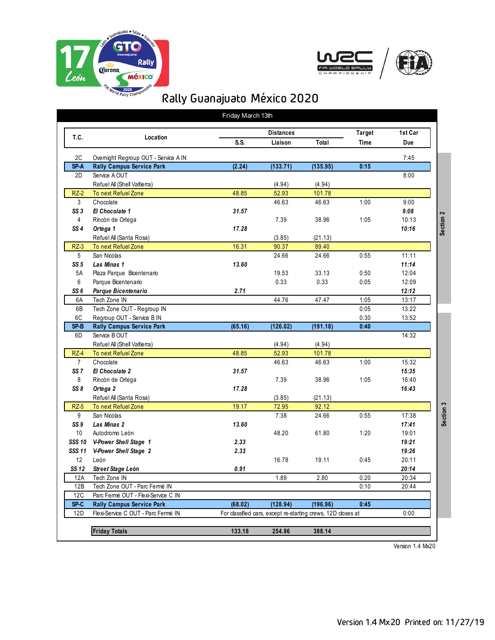





|                 |                                      | Friday March 13th |                  |                                                              |                              |         |           |
|-----------------|--------------------------------------|-------------------|------------------|--------------------------------------------------------------|------------------------------|---------|-----------|
|                 |                                      |                   | <b>Distances</b> |                                                              |                              | 1st Car |           |
| T.C.            | Location                             | S.S.              | Liaison          | Total                                                        | <b>Target</b><br><b>Time</b> | Due     |           |
| 2C              | Overnight Regroup OUT - Service A IN |                   |                  |                                                              |                              | 7:45    |           |
| SP <sub>A</sub> | <b>Rally Campus Service Park</b>     | (2.24)            | (133.71)         | (135.95)                                                     | 0:15                         |         |           |
| 2D              | Service A OUT                        |                   |                  |                                                              |                              | 8:00    |           |
|                 | Refuel All (Shell Valtierra)         |                   | (4.94)           | (4.94)                                                       |                              |         |           |
| $RZ-2$          | To next Refuel Zone                  | 48.85             | 52.93            | 101.78                                                       |                              |         |           |
| 3               | Chocolate                            |                   | 46.63            | 46.63                                                        | 1:00                         | 9:00    |           |
| SS <sub>3</sub> | El Chocolate 1                       | 31.57             |                  |                                                              |                              | 9:08    |           |
| $\overline{4}$  | Rincón de Ortega                     |                   | 7.39             | 38.96                                                        | 1:05                         | 10:13   | Section 2 |
| SS <sub>4</sub> | Ortega 1                             | 17.28             |                  |                                                              |                              | 10:16   |           |
|                 | Refuel All (Santa Rosa)              |                   | (3.85)           | (21.13)                                                      |                              |         |           |
| $RZ-3$          | To next Refuel Zone                  | 16.31             | 90.37            | 89.40                                                        |                              |         |           |
| 5               | San Nicolas                          |                   | 24.66            | 24.66                                                        | 0:55                         | 11:11   |           |
| SS <sub>5</sub> | <b>Las Minas 1</b>                   | 13.60             |                  |                                                              |                              | 11:14   |           |
| 5A              | Plaza Parque Bicentenario            |                   | 19.53            | 33.13                                                        | 0:50                         | 12:04   |           |
| 6               | Parque Bicentenario                  |                   | 0.33             | 0.33                                                         | 0:05                         | 12:09   |           |
| SS <sub>6</sub> | Parque Bicentenario                  | 2.71              |                  |                                                              |                              | 12:12   |           |
| 6A              | Tech Zone IN                         |                   | 44.76            | 47.47                                                        | 1:05                         | 13:17   |           |
| 6B              | Tech Zone OUT - Regroup IN           |                   |                  |                                                              | 0:05                         | 13:22   |           |
| 6C              | Regroup OUT - Service B IN           |                   |                  |                                                              | 0:30                         | 13:52   |           |
| SP <sub>B</sub> | <b>Rally Campus Service Park</b>     | (65.16)           | (126.02)         | (191.18)                                                     | 0:40                         |         |           |
| 6D              | Service B OUT                        |                   |                  |                                                              |                              | 14:32   |           |
|                 | Refuel All (Shell Valtierra)         |                   | (4.94)           | (4.94)                                                       |                              |         |           |
| $RZ-4$          | To next Refuel Zone                  | 48.85             | 52.93            | 101.78                                                       |                              |         |           |
| $\overline{7}$  | Chocolate                            |                   | 46.63            | 46.63                                                        | 1:00                         | 15:32   |           |
| SS <sub>7</sub> | El Chocolate 2                       | 31.57             |                  |                                                              |                              | 15:35   |           |
| 8               | Rincón de Ortega                     |                   | 7.39             | 38.96                                                        | 1:05                         | 16:40   |           |
| SS8             | Ortega 2                             | 17.28             |                  |                                                              |                              | 16:43   |           |
|                 | Refuel All (Santa Rosa)              |                   | (3.85)           | (21.13)                                                      |                              |         |           |
| $RZ-5$          | To next Refuel Zone                  | 19.17             | 72.95            | 92.12                                                        |                              |         |           |
| 9               | San Nicolas                          |                   | 7.38             | 24.66                                                        | 0:55                         | 17:38   | Section 3 |
| SS <sub>9</sub> | <b>Las Minas 2</b>                   | 13.60             |                  |                                                              |                              | 17:41   |           |
| 10              | Autodromo León                       |                   | 48.20            | 61.80                                                        | 1:20                         | 19:01   |           |
| <b>SSS 10</b>   | V-Power Shell Stage 1                | 2.33              |                  |                                                              |                              | 19:21   |           |
| <b>SSS 11</b>   | V-Power Shell Stage 2                | 2.33              |                  |                                                              |                              | 19:26   |           |
| 12              | León                                 |                   | 16.78            | 19.11                                                        | 0:45                         | 20:11   |           |
| SS 12           | Street Stage León                    | 0.91              |                  |                                                              |                              | 20:14   |           |
| 12A             | Tech Zone IN                         |                   | 1.89             | 2.80                                                         | 0:20                         | 20:34   |           |
| 12B             | Tech Zone OUT - Parc Fermé IN        |                   |                  |                                                              | 0:10                         | 20:44   |           |
| 12C             | Parc Fermé OUT - Flexi-Service C IN  |                   |                  |                                                              |                              |         |           |
| SP <sub>C</sub> | <b>Rally Campus Service Park</b>     | (68.02)           | (128.94)         | (196.96)                                                     | 0:45                         |         |           |
| 12D             | Flexi-Service C OUT - Parc Fermé IN  |                   |                  | For classified cars, except re-starting crews, 12D closes at |                              | 0:00    |           |
|                 |                                      |                   |                  |                                                              |                              |         |           |
|                 | <b>Friday Totals</b>                 | 133.18            | 254.96           | 388.14                                                       |                              |         |           |
|                 |                                      |                   |                  |                                                              |                              |         |           |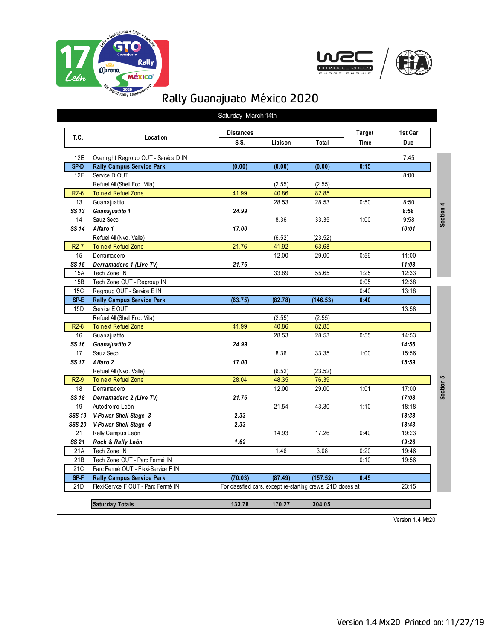





| T.C.                   | Location                                                                 | <b>Distances</b><br>S.S. | Liaison | Total                                                        | <b>Target</b><br><b>Time</b> | 1st Car<br><b>Due</b> |
|------------------------|--------------------------------------------------------------------------|--------------------------|---------|--------------------------------------------------------------|------------------------------|-----------------------|
|                        |                                                                          |                          |         |                                                              |                              |                       |
| 12E<br>SP <sub>D</sub> | Overnight Regroup OUT - Service D IN<br><b>Rally Campus Service Park</b> | (0.00)                   | (0.00)  | (0.00)                                                       | 0:15                         | 7:45                  |
| 12F                    | Service D OUT                                                            |                          |         |                                                              |                              | 8:00                  |
|                        | Refuel All (Shell Fco. Villa)                                            |                          | (2.55)  | (2.55)                                                       |                              |                       |
| $RZ-6$                 | To next Refuel Zone                                                      | 41.99                    | 40.86   | 82.85                                                        |                              |                       |
| 13                     |                                                                          |                          | 28.53   | 28.53                                                        | 0:50                         | 8:50                  |
| SS 13                  | Guanajuatito                                                             | 24.99                    |         |                                                              |                              |                       |
|                        | Guanajuatito 1                                                           |                          |         |                                                              |                              | 8:58                  |
| 14                     | Sauz Seco                                                                |                          | 8.36    | 33.35                                                        | 1:00                         | 9:58                  |
| SS 14                  | Alfaro 1                                                                 | 17.00                    |         |                                                              |                              | 10:01                 |
|                        | Refuel All (Nvo. Valle)                                                  |                          | (6.52)  | (23.52)                                                      |                              |                       |
| <b>RZ-7</b>            | To next Refuel Zone                                                      | 21.76                    | 41.92   | 63.68                                                        |                              |                       |
| 15                     | Derramadero                                                              |                          | 12.00   | 29.00                                                        | 0:59                         | 11:00                 |
| SS 15                  | Derramadero 1 (Live TV)                                                  | 21.76                    |         |                                                              |                              | 11:08                 |
| 15A                    | Tech Zone IN                                                             |                          | 33.89   | 55.65                                                        | 1:25                         | 12:33                 |
| 15B                    | Tech Zone OUT - Regroup IN                                               |                          |         |                                                              | 0:05                         | 12:38                 |
| 15C                    | Regroup OUT - Service E IN                                               |                          |         |                                                              | 0:40                         | 13:18                 |
| SP <sub>E</sub>        | <b>Rally Campus Service Park</b>                                         | (63.75)                  | (82.78) | (146.53)                                                     | 0:40                         |                       |
| 15 <sub>D</sub>        | Service E OUT                                                            |                          |         |                                                              |                              | 13:58                 |
|                        | Refuel All (Shell Fco. Villa)                                            |                          | (2.55)  | (2.55)                                                       |                              |                       |
| $RZ-8$                 | To next Refuel Zone                                                      | 41.99                    | 40.86   | 82.85                                                        |                              |                       |
| 16                     | Guanajuatito                                                             |                          | 28.53   | 28.53                                                        | 0:55                         | 14:53                 |
| SS 16                  | Guanajuatito 2                                                           | 24.99                    |         |                                                              |                              | 14:56                 |
| 17                     | Sauz Seco                                                                |                          | 8.36    | 33.35                                                        | 1:00                         | 15:56                 |
| SS 17                  | Alfaro 2                                                                 | 17.00                    |         |                                                              |                              | 15:59                 |
|                        | Refuel All (Nvo. Valle)                                                  |                          | (6.52)  | (23.52)                                                      |                              |                       |
| $RZ-9$                 | To next Refuel Zone                                                      | 28.04                    | 48.35   | 76.39                                                        |                              |                       |
| 18                     | Derramadero                                                              |                          | 12.00   | 29.00                                                        | 1:01                         | 17:00                 |
| SS 18                  | Derramadero 2 (Live TV)                                                  | 21.76                    |         |                                                              |                              | 17:08                 |
| 19                     | Autodromo León                                                           |                          | 21.54   | 43.30                                                        | 1:10                         | 18:18                 |
|                        | SSS 19 V-Power Shell Stage 3                                             | 2.33                     |         |                                                              |                              | 18:38                 |
|                        | SSS 20 V-Power Shell Stage 4                                             | 2.33                     |         |                                                              |                              | 18:43                 |
| 21                     | Rally Campus León                                                        |                          | 14.93   | 17.26                                                        | 0.40                         | 19:23                 |
| SS 21                  | Rock & Rally León                                                        | 1.62                     |         |                                                              |                              | 19:26                 |
| 21A                    | Tech Zone IN                                                             |                          | 1.46    | 3.08                                                         | 0:20                         | 19:46                 |
| 21B                    | Tech Zone OUT - Parc Fermé IN                                            |                          |         |                                                              | 0:10                         | 19:56                 |
| 21C                    | Parc Fermé OUT - Flexi-Service F IN                                      |                          |         |                                                              |                              |                       |
| SP <sub>F</sub>        | <b>Rally Campus Service Park</b>                                         | (70.03)                  | (87.49) | (157.52)                                                     | 0:45                         |                       |
| 21D                    | Flexi-Service F OUT - Parc Fermé IN                                      |                          |         | For classified cars, except re-starting crews, 21D closes at |                              | 23:15                 |
|                        |                                                                          |                          |         |                                                              |                              |                       |
|                        |                                                                          |                          |         |                                                              |                              |                       |